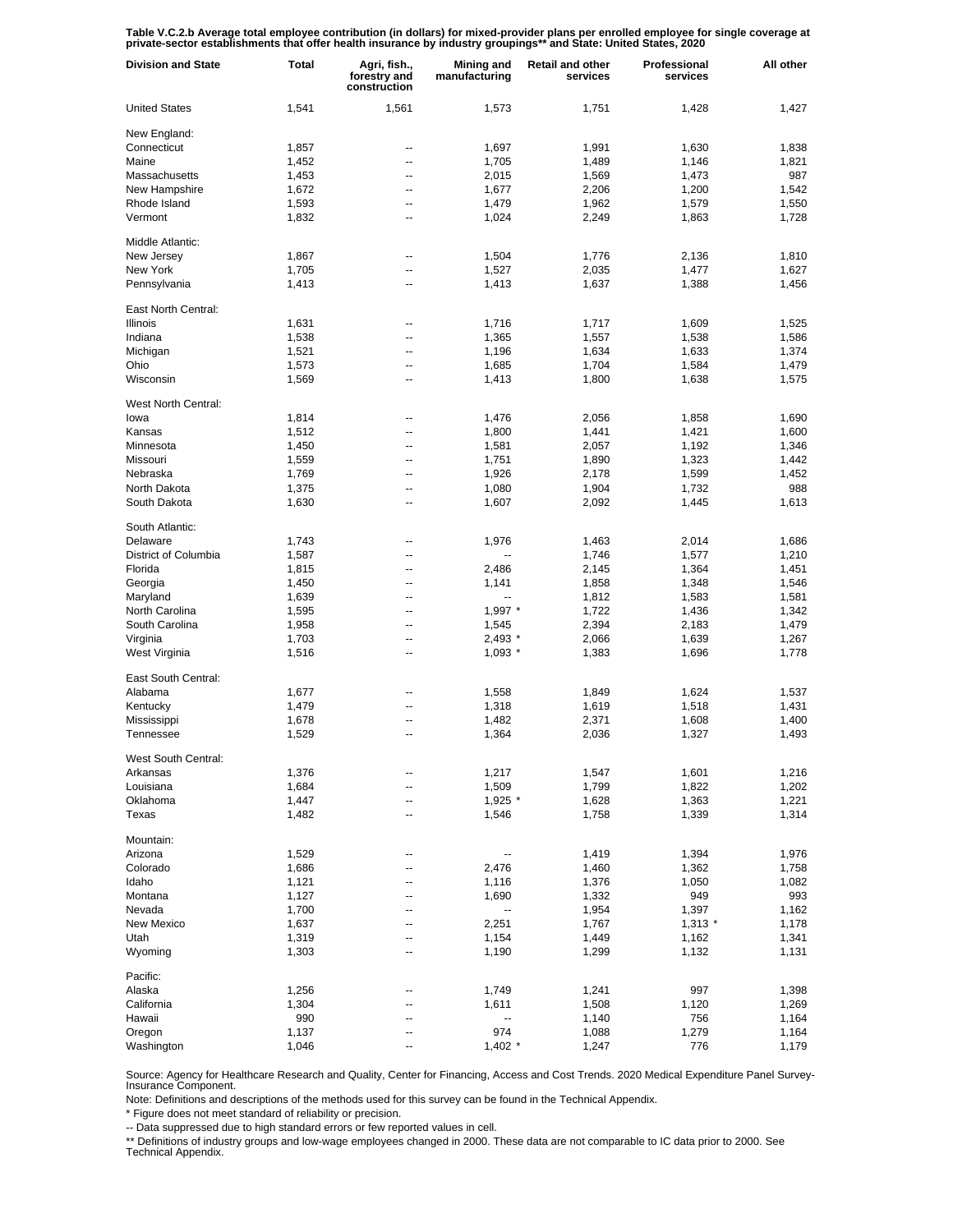Table V.C.2.b Average total employee contribution (in dollars) for mixed-provider plans per enrolled employee for single coverage at<br>private-sector establishments that offer health insurance by industry groupings\*\* and Sta

| <b>Division and State</b>   | Total          | Agri, fish.,<br>forestry and<br>construction | <b>Mining and</b><br>manufacturing | <b>Retail and other</b><br>services | Professional<br>services | All other      |
|-----------------------------|----------------|----------------------------------------------|------------------------------------|-------------------------------------|--------------------------|----------------|
| <b>United States</b>        | 1,541          | 1,561                                        | 1,573                              | 1,751                               | 1,428                    | 1,427          |
| New England:                |                |                                              |                                    |                                     |                          |                |
| Connecticut                 | 1,857          | --                                           | 1,697                              | 1,991                               | 1,630                    | 1,838          |
| Maine                       | 1,452          | --                                           | 1,705                              | 1,489                               | 1,146                    | 1,821          |
| Massachusetts               | 1,453          | --                                           | 2,015                              | 1,569                               | 1,473                    | 987            |
| New Hampshire               | 1,672          | --                                           | 1,677                              | 2,206                               | 1,200                    | 1,542          |
| Rhode Island                | 1,593          | --                                           | 1,479                              | 1,962                               | 1,579                    | 1,550          |
| Vermont                     | 1,832          | --                                           | 1,024                              | 2,249                               | 1,863                    | 1,728          |
| Middle Atlantic:            |                |                                              |                                    |                                     |                          |                |
| New Jersey                  | 1,867          | --                                           | 1,504                              | 1,776                               | 2,136                    | 1,810          |
| New York                    | 1,705          | --                                           | 1,527                              | 2,035                               | 1,477                    | 1,627          |
| Pennsylvania                | 1,413          | ٠.                                           | 1,413                              | 1,637                               | 1,388                    | 1,456          |
| East North Central:         |                |                                              |                                    |                                     |                          |                |
| Illinois                    | 1,631          | --                                           | 1,716                              | 1,717                               | 1,609                    | 1,525          |
| Indiana                     | 1,538          | --                                           | 1,365                              | 1,557                               | 1,538                    | 1,586          |
| Michigan                    | 1,521          | --                                           | 1,196                              | 1,634                               | 1,633                    | 1,374          |
| Ohio                        | 1,573          | --                                           | 1,685                              | 1,704                               | 1,584                    | 1,479          |
| Wisconsin                   | 1,569          | --                                           | 1,413                              | 1,800                               | 1,638                    | 1,575          |
|                             |                |                                              |                                    |                                     |                          |                |
| West North Central:<br>lowa | 1,814          | --                                           | 1,476                              | 2,056                               | 1,858                    | 1,690          |
| Kansas                      |                |                                              |                                    |                                     |                          |                |
|                             | 1,512          | --                                           | 1,800                              | 1,441                               | 1,421                    | 1,600          |
| Minnesota                   | 1,450          | --                                           | 1,581                              | 2,057                               | 1,192                    | 1,346          |
| Missouri                    | 1,559          | --                                           | 1,751                              | 1,890                               | 1,323                    | 1,442          |
| Nebraska                    | 1,769          | --                                           | 1,926                              | 2,178                               | 1,599                    | 1,452          |
| North Dakota                | 1,375          | --                                           | 1,080                              | 1,904                               | 1,732                    | 988            |
| South Dakota                | 1,630          | --                                           | 1,607                              | 2,092                               | 1,445                    | 1,613          |
| South Atlantic:             |                |                                              |                                    |                                     |                          |                |
| Delaware                    | 1,743          | --                                           | 1,976                              | 1,463                               | 2,014                    | 1,686          |
| District of Columbia        | 1,587          | ٠.                                           |                                    | 1,746                               | 1,577                    | 1,210          |
| Florida                     | 1,815          | --                                           | 2,486                              | 2,145                               | 1,364                    | 1,451          |
| Georgia                     | 1,450          | ٠.                                           | 1,141                              | 1,858                               | 1,348                    | 1,546          |
| Maryland                    | 1,639          | --                                           | --                                 | 1,812                               | 1,583                    | 1,581          |
| North Carolina              | 1,595          | --                                           | $1,997$ *                          | 1,722                               | 1,436                    | 1,342          |
| South Carolina              | 1,958          | --                                           | 1,545                              | 2,394                               | 2,183                    | 1,479          |
| Virginia                    | 1,703          | --                                           | 2,493 *                            | 2,066                               | 1,639                    | 1,267          |
| West Virginia               | 1,516          | --                                           | $1,093$ *                          | 1,383                               | 1,696                    | 1,778          |
| East South Central:         |                |                                              |                                    |                                     |                          |                |
| Alabama                     | 1,677          |                                              | 1,558                              | 1,849                               | 1,624                    | 1,537          |
| Kentucky                    | 1,479          | ٠.                                           | 1,318                              | 1,619                               | 1,518                    | 1,431          |
| Mississippi                 | 1,678          | --                                           | 1,482                              | 2,371                               | 1,608                    | 1,400          |
| Tennessee                   | 1,529          | --                                           | 1,364                              | 2,036                               | 1,327                    | 1,493          |
| West South Central:         |                |                                              |                                    |                                     |                          |                |
| Arkansas                    | 1,376          |                                              | 1,217                              | 1,547                               | 1,601                    | 1,216          |
| Louisiana                   | 1,684          | --                                           | 1,509                              |                                     |                          |                |
|                             |                |                                              |                                    | 1,799                               | 1,822                    | 1,202          |
| Oklahoma<br>Texas           | 1,447<br>1,482 | --<br>--                                     | $1,925$ *<br>1,546                 | 1,628<br>1,758                      | 1,363<br>1,339           | 1,221<br>1,314 |
|                             |                |                                              |                                    |                                     |                          |                |
| Mountain:                   |                |                                              |                                    |                                     |                          |                |
| Arizona                     | 1,529          | --                                           | --                                 | 1,419                               | 1,394                    | 1,976          |
| Colorado                    | 1,686          | ٠.                                           | 2,476                              | 1,460                               | 1,362                    | 1,758          |
| Idaho                       | 1,121          | ٠.                                           | 1,116                              | 1,376                               | 1,050                    | 1,082          |
| Montana                     | 1,127          | ٠.                                           | 1,690                              | 1,332                               | 949                      | 993            |
| Nevada                      | 1,700          | ٠.                                           | --                                 | 1,954                               | 1,397                    | 1,162          |
| New Mexico                  | 1,637          | --                                           | 2,251                              | 1,767                               | $1,313$ *                | 1,178          |
| Utah                        | 1,319          | ٠.                                           | 1,154                              | 1,449                               | 1,162                    | 1,341          |
| Wyoming                     | 1,303          | ٠.                                           | 1,190                              | 1,299                               | 1,132                    | 1,131          |
| Pacific:                    |                |                                              |                                    |                                     |                          |                |
| Alaska                      | 1,256          |                                              | 1,749                              | 1,241                               | 997                      | 1,398          |
| California                  | 1,304          |                                              | 1,611                              | 1,508                               | 1,120                    | 1,269          |
| Hawaii                      | 990            | --                                           | --                                 | 1,140                               | 756                      | 1,164          |
| Oregon                      | 1,137          |                                              | 974                                | 1,088                               | 1,279                    | 1,164          |
| Washington                  | 1,046          |                                              | $1,402$ *                          | 1,247                               | 776                      | 1,179          |

Source: Agency for Healthcare Research and Quality, Center for Financing, Access and Cost Trends. 2020 Medical Expenditure Panel Survey-Insurance Component.

Note: Definitions and descriptions of the methods used for this survey can be found in the Technical Appendix.

\* Figure does not meet standard of reliability or precision.

-- Data suppressed due to high standard errors or few reported values in cell.

\*\* Definitions of industry groups and low-wage employees changed in 2000. These data are not comparable to IC data prior to 2000. See Technical Appendix.